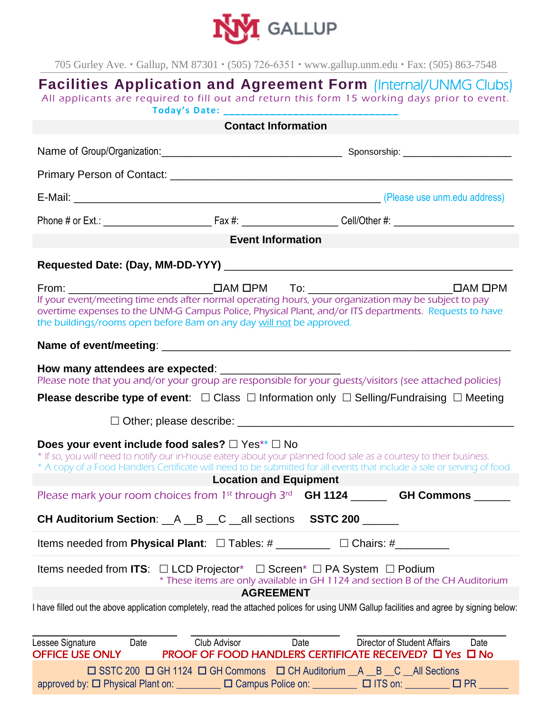

705 Gurley Ave. Gallup, NM 87301 (505) 726-6351 www.gallup.unm.edu Fax: (505) 863-7548

| <b>Facilities Application and Agreement Form (Internal/UNMG Clubs)</b><br>All applicants are required to fill out and return this form 15 working days prior to event.                                                                                                                                                                                                                                                                                                                                                                               |                          |             |                                                                                                              |
|------------------------------------------------------------------------------------------------------------------------------------------------------------------------------------------------------------------------------------------------------------------------------------------------------------------------------------------------------------------------------------------------------------------------------------------------------------------------------------------------------------------------------------------------------|--------------------------|-------------|--------------------------------------------------------------------------------------------------------------|
| <b>Contact Information</b>                                                                                                                                                                                                                                                                                                                                                                                                                                                                                                                           |                          |             |                                                                                                              |
|                                                                                                                                                                                                                                                                                                                                                                                                                                                                                                                                                      |                          |             |                                                                                                              |
|                                                                                                                                                                                                                                                                                                                                                                                                                                                                                                                                                      |                          |             |                                                                                                              |
|                                                                                                                                                                                                                                                                                                                                                                                                                                                                                                                                                      |                          |             |                                                                                                              |
|                                                                                                                                                                                                                                                                                                                                                                                                                                                                                                                                                      |                          |             |                                                                                                              |
| <b>Event Information</b>                                                                                                                                                                                                                                                                                                                                                                                                                                                                                                                             |                          |             |                                                                                                              |
|                                                                                                                                                                                                                                                                                                                                                                                                                                                                                                                                                      |                          |             |                                                                                                              |
| If your event/meeting time ends after normal operating hours, your organization may be subject to pay<br>overtime expenses to the UNM-G Campus Police, Physical Plant, and/or ITS departments. Requests to have<br>the buildings/rooms open before 8am on any day will not be approved.                                                                                                                                                                                                                                                              |                          |             |                                                                                                              |
|                                                                                                                                                                                                                                                                                                                                                                                                                                                                                                                                                      |                          |             |                                                                                                              |
| Please note that you and/or your group are responsible for your guests/visitors (see attached policies)                                                                                                                                                                                                                                                                                                                                                                                                                                              |                          |             |                                                                                                              |
| <b>Please describe type of event:</b> $\Box$ Class $\Box$ Information only $\Box$ Selling/Fundraising $\Box$ Meeting                                                                                                                                                                                                                                                                                                                                                                                                                                 |                          |             |                                                                                                              |
|                                                                                                                                                                                                                                                                                                                                                                                                                                                                                                                                                      |                          |             |                                                                                                              |
| Does your event include food sales? $\Box$ Yes** $\Box$ No<br>* If so, you will need to notify our in-house eatery about your planned food sale as a courtesy to their business.<br>* A copy of a Food Handlers Certificate will need to be submitted for all events that include a sale or serving of food.<br><b>Example 2018 Control Control Control Control Control Control Control Control Control Control Control Control Control Control Control Control Control Control Control Control Control Control Control Control Control Control </b> |                          |             |                                                                                                              |
| Please mark your room choices from 1 <sup>st</sup> through 3 <sup>rd</sup> <b>GH 1124 CH Commons</b>                                                                                                                                                                                                                                                                                                                                                                                                                                                 |                          |             |                                                                                                              |
| <b>CH Auditorium Section:</b> A B C all sections SSTC 200                                                                                                                                                                                                                                                                                                                                                                                                                                                                                            |                          |             |                                                                                                              |
| Items needed from Physical Plant: $\Box$ Tables: # __________ $\Box$ Chairs: # _________                                                                                                                                                                                                                                                                                                                                                                                                                                                             |                          |             |                                                                                                              |
| Items needed from ITS: $\Box$ LCD Projector* $\Box$ Screen* $\Box$ PA System $\Box$ Podium<br>* These items are only available in GH 1124 and section B of the CH Auditorium<br><b>AGREEMENT</b>                                                                                                                                                                                                                                                                                                                                                     |                          |             |                                                                                                              |
| I have filled out the above application completely, read the attached polices for using UNM Gallup facilities and agree by signing below:                                                                                                                                                                                                                                                                                                                                                                                                            |                          |             |                                                                                                              |
| Lessee Signature Date Date<br>OFFICE USE ONLY                                                                                                                                                                                                                                                                                                                                                                                                                                                                                                        | Club Advisor <b>Club</b> | <b>Date</b> | <b>Director of Student Affairs</b><br>Date<br><b>PROOF OF FOOD HANDLERS CERTIFICATE RECEIVED? O Yes O No</b> |
| □ SSTC 200 □ GH 1124 □ GH Commons □ CH Auditorium _A _B _C _All Sections<br>approved by: □ Physical Plant on: □ □ Campus Police on: □ □ ITS on: □ □ PR □ □                                                                                                                                                                                                                                                                                                                                                                                           |                          |             |                                                                                                              |